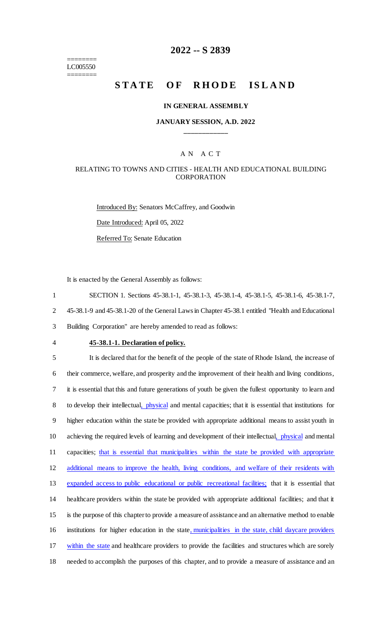======== LC005550 ========

## **2022 -- S 2839**

# **STATE OF RHODE ISLAND**

#### **IN GENERAL ASSEMBLY**

## **JANUARY SESSION, A.D. 2022 \_\_\_\_\_\_\_\_\_\_\_\_**

## A N A C T

### RELATING TO TOWNS AND CITIES - HEALTH AND EDUCATIONAL BUILDING CORPORATION

Introduced By: Senators McCaffrey, and Goodwin Date Introduced: April 05, 2022 Referred To: Senate Education

It is enacted by the General Assembly as follows:

1 SECTION 1. Sections 45-38.1-1, 45-38.1-3, 45-38.1-4, 45-38.1-5, 45-38.1-6, 45-38.1-7,

2 45-38.1-9 and 45-38.1-20 of the General Laws in Chapter 45-38.1 entitled "Health and Educational

3 Building Corporation" are hereby amended to read as follows:

#### 4 **45-38.1-1. Declaration of policy.**

 It is declared that for the benefit of the people of the state of Rhode Island, the increase of their commerce, welfare, and prosperity and the improvement of their health and living conditions, it is essential that this and future generations of youth be given the fullest opportunity to learn and 8 to develop their intellectual, *physical* and mental capacities; that it is essential that institutions for higher education within the state be provided with appropriate additional means to assist youth in achieving the required levels of learning and development of their intellectual, physical and mental 11 capacities; that is essential that municipalities within the state be provided with appropriate additional means to improve the health, living conditions, and welfare of their residents with expanded access to public educational or public recreational facilities; that it is essential that healthcare providers within the state be provided with appropriate additional facilities; and that it is the purpose of this chapter to provide a measure of assistance and an alternative method to enable 16 institutions for higher education in the state, municipalities in the state, child daycare providers within the state and healthcare providers to provide the facilities and structures which are sorely needed to accomplish the purposes of this chapter, and to provide a measure of assistance and an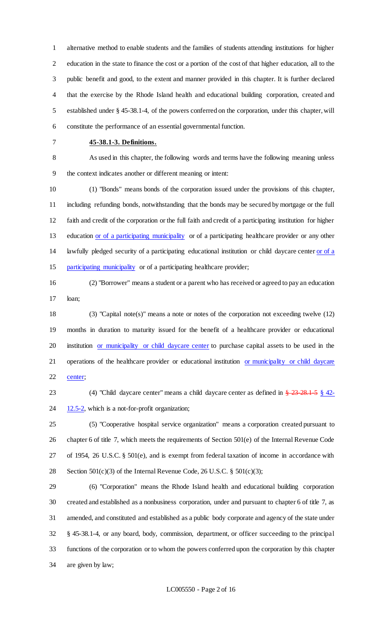alternative method to enable students and the families of students attending institutions for higher education in the state to finance the cost or a portion of the cost of that higher education, all to the public benefit and good, to the extent and manner provided in this chapter. It is further declared that the exercise by the Rhode Island health and educational building corporation, created and established under § 45-38.1-4, of the powers conferred on the corporation, under this chapter, will constitute the performance of an essential governmental function.

### **45-38.1-3. Definitions.**

 As used in this chapter, the following words and terms have the following meaning unless the context indicates another or different meaning or intent:

 (1) "Bonds" means bonds of the corporation issued under the provisions of this chapter, including refunding bonds, notwithstanding that the bonds may be secured by mortgage or the full faith and credit of the corporation or the full faith and credit of a participating institution for higher 13 education or of a participating municipality or of a participating healthcare provider or any other lawfully pledged security of a participating educational institution or child daycare center or of a participating municipality or of a participating healthcare provider;

 (2) "Borrower" means a student or a parent who has received or agreed to pay an education loan;

 (3) "Capital note(s)" means a note or notes of the corporation not exceeding twelve (12) months in duration to maturity issued for the benefit of a healthcare provider or educational 20 institution or municipality or child daycare center to purchase capital assets to be used in the 21 operations of the healthcare provider or educational institution or municipality or child daycare 22 center;

23 (4) "Child daycare center" means a child daycare center as defined in  $\frac{23}{23}$  -28.1-5  $\frac{8}{24}$  42- $24 \frac{12.5-2}{12.5-2}$ , which is a not-for-profit organization;

 (5) "Cooperative hospital service organization" means a corporation created pursuant to chapter 6 of title 7, which meets the requirements of Section 501(e) of the Internal Revenue Code of 1954, 26 U.S.C. § 501(e), and is exempt from federal taxation of income in accordance with 28 Section  $501(c)(3)$  of the Internal Revenue Code, 26 U.S.C. §  $501(c)(3)$ ;

 (6) "Corporation" means the Rhode Island health and educational building corporation created and established as a nonbusiness corporation, under and pursuant to chapter 6 of title 7, as amended, and constituted and established as a public body corporate and agency of the state under § 45-38.1-4, or any board, body, commission, department, or officer succeeding to the principal functions of the corporation or to whom the powers conferred upon the corporation by this chapter are given by law;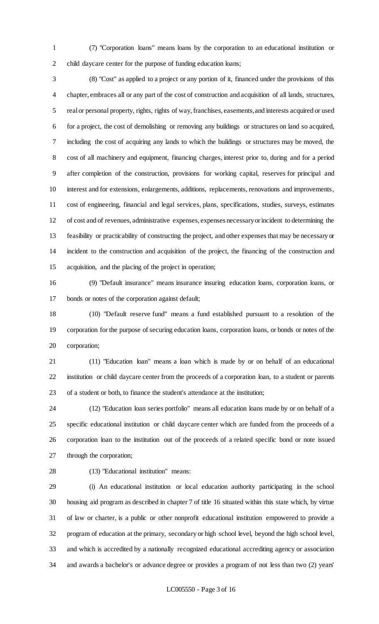(7) "Corporation loans" means loans by the corporation to an educational institution or child daycare center for the purpose of funding education loans;

 (8) "Cost" as applied to a project or any portion of it, financed under the provisions of this chapter, embraces all or any part of the cost of construction and acquisition of all lands, structures, real or personal property, rights, rights of way, franchises, easements, and interests acquired or used for a project, the cost of demolishing or removing any buildings or structures on land so acquired, including the cost of acquiring any lands to which the buildings or structures may be moved, the cost of all machinery and equipment, financing charges, interest prior to, during and for a period after completion of the construction, provisions for working capital, reserves for principal and interest and for extensions, enlargements, additions, replacements, renovations and improvements, cost of engineering, financial and legal services, plans, specifications, studies, surveys, estimates of cost and of revenues, administrative expenses, expenses necessary or incident to determining the feasibility or practicability of constructing the project, and other expenses that may be necessary or incident to the construction and acquisition of the project, the financing of the construction and acquisition, and the placing of the project in operation;

 (9) "Default insurance" means insurance insuring education loans, corporation loans, or bonds or notes of the corporation against default;

 (10) "Default reserve fund" means a fund established pursuant to a resolution of the corporation for the purpose of securing education loans, corporation loans, or bonds or notes of the corporation;

 (11) "Education loan" means a loan which is made by or on behalf of an educational institution or child daycare center from the proceeds of a corporation loan, to a student or parents of a student or both, to finance the student's attendance at the institution;

 (12) "Education loan series portfolio" means all education loans made by or on behalf of a specific educational institution or child daycare center which are funded from the proceeds of a corporation loan to the institution out of the proceeds of a related specific bond or note issued through the corporation;

(13) "Educational institution" means:

 (i) An educational institution or local education authority participating in the school housing aid program as described in chapter 7 of title 16 situated within this state which, by virtue of law or charter, is a public or other nonprofit educational institution empowered to provide a program of education at the primary, secondary or high school level, beyond the high school level, and which is accredited by a nationally recognized educational accrediting agency or association and awards a bachelor's or advance degree or provides a program of not less than two (2) years'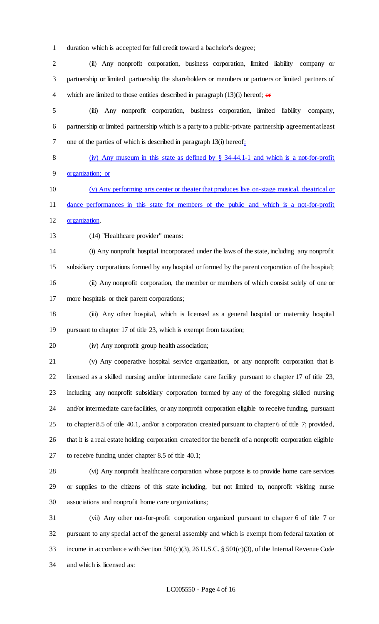duration which is accepted for full credit toward a bachelor's degree;

 (ii) Any nonprofit corporation, business corporation, limited liability company or partnership or limited partnership the shareholders or members or partners or limited partners of 4 which are limited to those entities described in paragraph  $(13)(i)$  hereof;  $\theta$ 

 (iii) Any nonprofit corporation, business corporation, limited liability company, partnership or limited partnership which is a party to a public-private partnership agreement at least one of the parties of which is described in paragraph 13(i) hereof;

(iv) Any museum in this state as defined by § 34-44.1-1 and which is a not-for-profit

organization; or

 (v) Any performing arts center or theater that produces live on-stage musical, theatrical or dance performances in this state for members of the public and which is a not-for-profit

organization.

(14) "Healthcare provider" means:

 (i) Any nonprofit hospital incorporated under the laws of the state, including any nonprofit subsidiary corporations formed by any hospital or formed by the parent corporation of the hospital; (ii) Any nonprofit corporation, the member or members of which consist solely of one or more hospitals or their parent corporations;

 (iii) Any other hospital, which is licensed as a general hospital or maternity hospital pursuant to chapter 17 of title 23, which is exempt from taxation;

(iv) Any nonprofit group health association;

 (v) Any cooperative hospital service organization, or any nonprofit corporation that is licensed as a skilled nursing and/or intermediate care facility pursuant to chapter 17 of title 23, including any nonprofit subsidiary corporation formed by any of the foregoing skilled nursing and/or intermediate care facilities, or any nonprofit corporation eligible to receive funding, pursuant to chapter 8.5 of title 40.1, and/or a corporation created pursuant to chapter 6 of title 7; provided, that it is a real estate holding corporation created for the benefit of a nonprofit corporation eligible to receive funding under chapter 8.5 of title 40.1;

 (vi) Any nonprofit healthcare corporation whose purpose is to provide home care services or supplies to the citizens of this state including, but not limited to, nonprofit visiting nurse associations and nonprofit home care organizations;

 (vii) Any other not-for-profit corporation organized pursuant to chapter 6 of title 7 or pursuant to any special act of the general assembly and which is exempt from federal taxation of income in accordance with Section 501(c)(3), 26 U.S.C. § 501(c)(3), of the Internal Revenue Code and which is licensed as: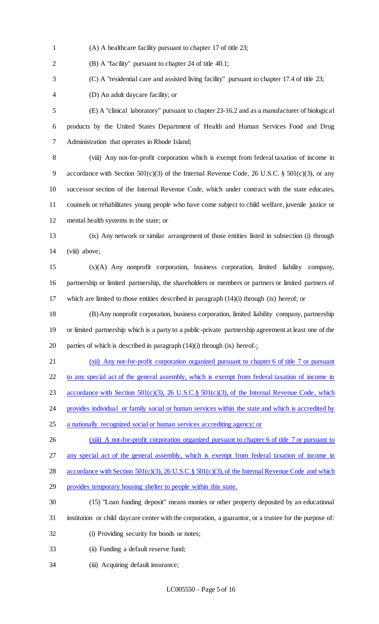(A) A healthcare facility pursuant to chapter 17 of title 23;

(B) A "facility" pursuant to chapter 24 of title 40.1;

(C) A "residential care and assisted living facility" pursuant to chapter 17.4 of title 23;

(D) An adult daycare facility; or

 (E) A "clinical laboratory" pursuant to chapter 23-16.2 and as a manufacturer of biological products by the United States Department of Health and Human Services Food and Drug Administration that operates in Rhode Island;

 (viii) Any not-for-profit corporation which is exempt from federal taxation of income in 9 accordance with Section  $501(c)(3)$  of the Internal Revenue Code, 26 U.S.C. §  $501(c)(3)$ , or any successor section of the Internal Revenue Code, which under contract with the state educates, counsels or rehabilitates young people who have come subject to child welfare, juvenile justice or mental health systems in the state; or

 (ix) Any network or similar arrangement of those entities listed in subsection (i) through 14 (viii) above;

 (x)(A) Any nonprofit corporation, business corporation, limited liability company, partnership or limited partnership, the shareholders or members or partners or limited partners of which are limited to those entities described in paragraph (14)(i) through (ix) hereof; or

 (B) Any nonprofit corporation, business corporation, limited liability company, partnership or limited partnership which is a party to a public-private partnership agreement at least one of the 20 parties of which is described in paragraph  $(14)(i)$  through  $(ix)$  hereof.

 (xii) Any not-for-profit corporation organized pursuant to chapter 6 of title 7 or pursuant 22 to any special act of the general assembly, which is exempt from federal taxation of income in 23 accordance with Section 501(c)(3), 26 U.S.C. § 501(c)(3), of the Internal Revenue Code, which 24 provides individual or family social or human services within the state and which is accredited by

- a nationally recognized social or human services accrediting agency; or
- 26 (xiii) A not-for-profit corporation organized pursuant to chapter 6 of title 7 or pursuant to

any special act of the general assembly, which is exempt from federal taxation of income in

28 accordance with Section 501(c)(3), 26 U.S.C.§ 501(c)(3), of the Internal Revenue Code and which

- provides temporary housing shelter to people within this state.
- (15) "Loan funding deposit" means monies or other property deposited by an educational institution or child daycare center with the corporation, a guarantor, or a trustee for the purpose of:
- (i) Providing security for bonds or notes;
- (ii) Funding a default reserve fund;
- 34 (iii) Acquiring default insurance;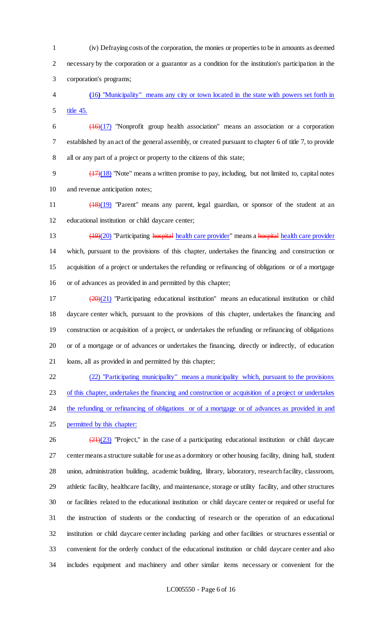(iv) Defraying costs of the corporation, the monies or properties to be in amounts as deemed necessary by the corporation or a guarantor as a condition for the institution's participation in the corporation's programs;

 **(**16**)** "Municipality" means any city or town located in the state with powers set forth in title 45.

 (16)(17) "Nonprofit group health association" means an association or a corporation established by an act of the general assembly, or created pursuant to chapter 6 of title 7, to provide all or any part of a project or property to the citizens of this state;

9  $(17)(18)$  "Note" means a written promise to pay, including, but not limited to, capital notes and revenue anticipation notes;

11 (18)(19) "Parent" means any parent, legal guardian, or sponsor of the student at an educational institution or child daycare center;

 (19)(20) "Participating hospital health care provider" means a hospital health care provider which, pursuant to the provisions of this chapter, undertakes the financing and construction or acquisition of a project or undertakes the refunding or refinancing of obligations or of a mortgage or of advances as provided in and permitted by this chapter;

 $(20)(21)$  "Participating educational institution" means an educational institution or child daycare center which, pursuant to the provisions of this chapter, undertakes the financing and construction or acquisition of a project, or undertakes the refunding or refinancing of obligations or of a mortgage or of advances or undertakes the financing, directly or indirectly, of education loans, all as provided in and permitted by this chapter;

 (22) "Participating municipality" means a municipality which, pursuant to the provisions of this chapter, undertakes the financing and construction or acquisition of a project or undertakes 24 the refunding or refinancing of obligations or of a mortgage or of advances as provided in and permitted by this chapter:

 $(21)(23)$  "Project," in the case of a participating educational institution or child daycare center means a structure suitable for use as a dormitory or other housing facility, dining hall, student union, administration building, academic building, library, laboratory, research facility, classroom, athletic facility, healthcare facility, and maintenance, storage or utility facility, and other structures or facilities related to the educational institution or child daycare center or required or useful for the instruction of students or the conducting of research or the operation of an educational institution or child daycare center including parking and other facilities or structures essential or convenient for the orderly conduct of the educational institution or child daycare center and also includes equipment and machinery and other similar items necessary or convenient for the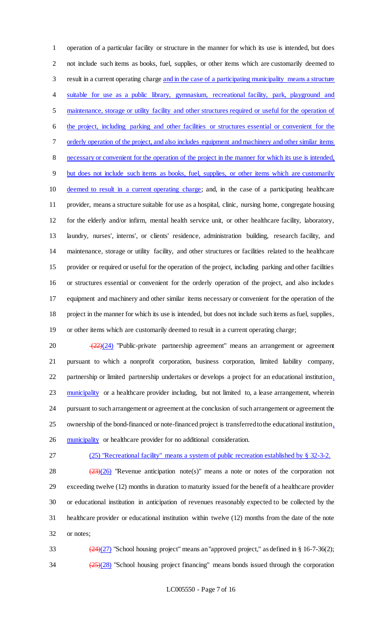operation of a particular facility or structure in the manner for which its use is intended, but does not include such items as books, fuel, supplies, or other items which are customarily deemed to result in a current operating charge and in the case of a participating municipality means a structure suitable for use as a public library, gymnasium, recreational facility, park, playground and maintenance, storage or utility facility and other structures required or useful for the operation of the project, including parking and other facilities or structures essential or convenient for the orderly operation of the project, and also includes equipment and machinery and other similar items necessary or convenient for the operation of the project in the manner for which its use is intended, but does not include such items as books, fuel, supplies, or other items which are customarily deemed to result in a current operating charge; and, in the case of a participating healthcare provider, means a structure suitable for use as a hospital, clinic, nursing home, congregate housing for the elderly and/or infirm, mental health service unit, or other healthcare facility, laboratory, laundry, nurses', interns', or clients' residence, administration building, research facility, and maintenance, storage or utility facility, and other structures or facilities related to the healthcare provider or required or useful for the operation of the project, including parking and other facilities or structures essential or convenient for the orderly operation of the project, and also includes equipment and machinery and other similar items necessary or convenient for the operation of the project in the manner for which its use is intended, but does not include such items as fuel, supplies, or other items which are customarily deemed to result in a current operating charge;

 $\sqrt{(22)(24)}$  "Public-private partnership agreement" means an arrangement or agreement pursuant to which a nonprofit corporation, business corporation, limited liability company, partnership or limited partnership undertakes or develops a project for an educational institution, 23 municipality or a healthcare provider including, but not limited to, a lease arrangement, wherein pursuant to such arrangement or agreement at the conclusion of such arrangement or agreement the ownership of the bond-financed or note-financed project is transferred to the educational institution, 26 municipality or healthcare provider for no additional consideration.

## (25) "Recreational facility" means a system of public recreation established by § 32-3-2.

 $(23)(26)$  "Revenue anticipation note(s)" means a note or notes of the corporation not exceeding twelve (12) months in duration to maturity issued for the benefit of a healthcare provider or educational institution in anticipation of revenues reasonably expected to be collected by the healthcare provider or educational institution within twelve (12) months from the date of the note or notes;

33  $(24)(27)$  "School housing project" means an "approved project," as defined in § 16-7-36(2);  $\frac{(25)(28)}{25}$  "School housing project financing" means bonds issued through the corporation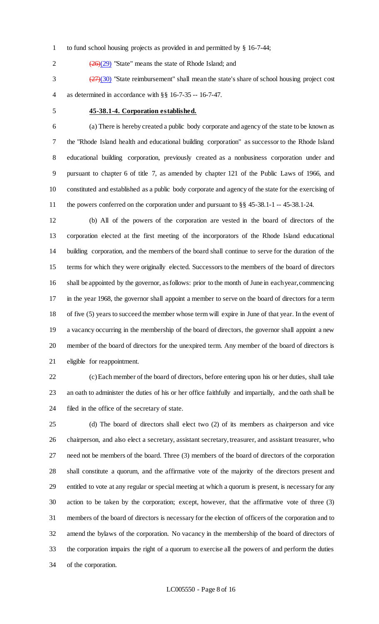- to fund school housing projects as provided in and permitted by § 16-7-44;
- 2  $(26)(29)$  "State" means the state of Rhode Island; and

 $\left(\frac{27}{30}\right)$  "State reimbursement" shall mean the state's share of school housing project cost as determined in accordance with §§ 16-7-35 -- 16-7-47.

## **45-38.1-4. Corporation established.**

 (a) There is hereby created a public body corporate and agency of the state to be known as the "Rhode Island health and educational building corporation" as successor to the Rhode Island educational building corporation, previously created as a nonbusiness corporation under and pursuant to chapter 6 of title 7, as amended by chapter 121 of the Public Laws of 1966, and constituted and established as a public body corporate and agency of the state for the exercising of the powers conferred on the corporation under and pursuant to §§ 45-38.1-1 -- 45-38.1-24.

 (b) All of the powers of the corporation are vested in the board of directors of the corporation elected at the first meeting of the incorporators of the Rhode Island educational building corporation, and the members of the board shall continue to serve for the duration of the terms for which they were originally elected. Successors to the members of the board of directors shall be appointed by the governor, as follows: prior to the month of June in each year, commencing in the year 1968, the governor shall appoint a member to serve on the board of directors for a term of five (5) years to succeed the member whose term will expire in June of that year. In the event of a vacancy occurring in the membership of the board of directors, the governor shall appoint a new member of the board of directors for the unexpired term. Any member of the board of directors is eligible for reappointment.

 (c) Each member of the board of directors, before entering upon his or her duties, shall take an oath to administer the duties of his or her office faithfully and impartially, and the oath shall be filed in the office of the secretary of state.

 (d) The board of directors shall elect two (2) of its members as chairperson and vice chairperson, and also elect a secretary, assistant secretary, treasurer, and assistant treasurer, who need not be members of the board. Three (3) members of the board of directors of the corporation shall constitute a quorum, and the affirmative vote of the majority of the directors present and entitled to vote at any regular or special meeting at which a quorum is present, is necessary for any action to be taken by the corporation; except, however, that the affirmative vote of three (3) members of the board of directors is necessary for the election of officers of the corporation and to amend the bylaws of the corporation. No vacancy in the membership of the board of directors of the corporation impairs the right of a quorum to exercise all the powers of and perform the duties of the corporation.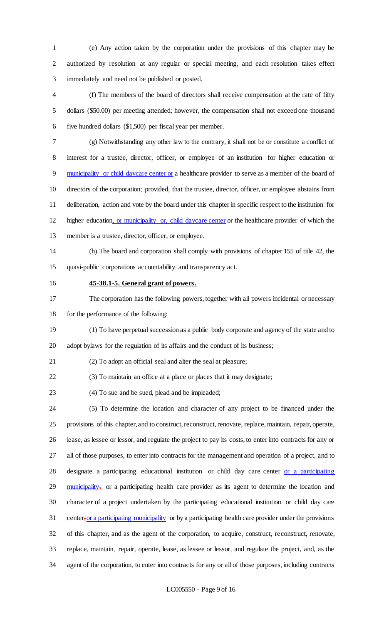(e) Any action taken by the corporation under the provisions of this chapter may be authorized by resolution at any regular or special meeting, and each resolution takes effect immediately and need not be published or posted.

 (f) The members of the board of directors shall receive compensation at the rate of fifty dollars (\$50.00) per meeting attended; however, the compensation shall not exceed one thousand five hundred dollars (\$1,500) per fiscal year per member.

 (g) Notwithstanding any other law to the contrary, it shall not be or constitute a conflict of interest for a trustee, director, officer, or employee of an institution for higher education or municipality or child daycare center or a healthcare provider to serve as a member of the board of directors of the corporation; provided, that the trustee, director, officer, or employee abstains from deliberation, action and vote by the board under this chapter in specific respect to the institution for higher education, or municipality or, child daycare center or the healthcare provider of which the member is a trustee, director, officer, or employee.

(h) The board and corporation shall comply with provisions of chapter 155 of title 42, the

quasi-public corporations accountability and transparency act.

#### **45-38.1-5. General grant of powers.**

 The corporation has the following powers, together with all powers incidental or necessary 18 for the performance of the following:

 (1) To have perpetual succession as a public body corporate and agency of the state and to adopt bylaws for the regulation of its affairs and the conduct of its business;

(2) To adopt an official seal and alter the seal at pleasure;

(3) To maintain an office at a place or places that it may designate;

(4) To sue and be sued, plead and be impleaded;

 (5) To determine the location and character of any project to be financed under the provisions of this chapter, and to construct, reconstruct, renovate, replace, maintain, repair, operate, lease, as lessee or lessor, and regulate the project to pay its costs, to enter into contracts for any or all of those purposes, to enter into contracts for the management and operation of a project, and to designate a participating educational institution or child day care center or a participating 29 municipality, or a participating health care provider as its agent to determine the location and character of a project undertaken by the participating educational institution or child day care 31 center, or a participating municipality or by a participating health care provider under the provisions of this chapter, and as the agent of the corporation, to acquire, construct, reconstruct, renovate, replace, maintain, repair, operate, lease, as lessee or lessor, and regulate the project, and, as the agent of the corporation, to enter into contracts for any or all of those purposes, including contracts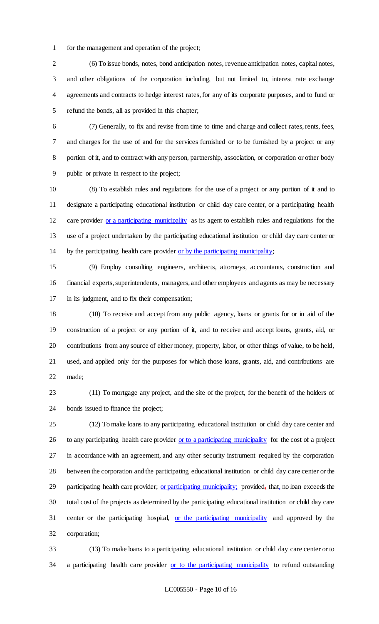for the management and operation of the project;

 (6) To issue bonds, notes, bond anticipation notes, revenue anticipation notes, capital notes, and other obligations of the corporation including, but not limited to, interest rate exchange agreements and contracts to hedge interest rates, for any of its corporate purposes, and to fund or refund the bonds, all as provided in this chapter;

 (7) Generally, to fix and revise from time to time and charge and collect rates, rents, fees, and charges for the use of and for the services furnished or to be furnished by a project or any portion of it, and to contract with any person, partnership, association, or corporation or other body public or private in respect to the project;

 (8) To establish rules and regulations for the use of a project or any portion of it and to designate a participating educational institution or child day care center, or a participating health care provider or a participating municipality as its agent to establish rules and regulations for the use of a project undertaken by the participating educational institution or child day care center or by the participating health care provider or by the participating municipality;

 (9) Employ consulting engineers, architects, attorneys, accountants, construction and financial experts, superintendents, managers, and other employees and agents as may be necessary in its judgment, and to fix their compensation;

 (10) To receive and accept from any public agency, loans or grants for or in aid of the construction of a project or any portion of it, and to receive and accept loans, grants, aid, or contributions from any source of either money, property, labor, or other things of value, to be held, used, and applied only for the purposes for which those loans, grants, aid, and contributions are made;

 (11) To mortgage any project, and the site of the project, for the benefit of the holders of bonds issued to finance the project;

 (12) To make loans to any participating educational institution or child day care center and 26 to any participating health care provider or to a participating municipality for the cost of a project in accordance with an agreement, and any other security instrument required by the corporation between the corporation and the participating educational institution or child day care center or the 29 participating health care provider; or participating municipality; provided, that, no loan exceeds the total cost of the projects as determined by the participating educational institution or child day care center or the participating hospital, or the participating municipality and approved by the corporation;

 (13) To make loans to a participating educational institution or child day care center or to 34 a participating health care provider or to the participating municipality to refund outstanding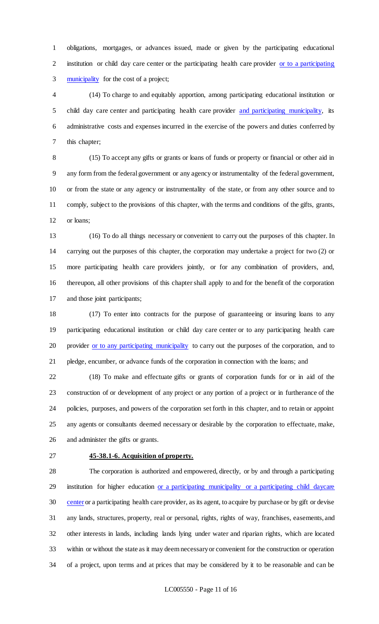obligations, mortgages, or advances issued, made or given by the participating educational institution or child day care center or the participating health care provider or to a participating municipality for the cost of a project;

 (14) To charge to and equitably apportion, among participating educational institution or 5 child day care center and participating health care provider and participating municipality, its administrative costs and expenses incurred in the exercise of the powers and duties conferred by this chapter;

 (15) To accept any gifts or grants or loans of funds or property or financial or other aid in any form from the federal government or any agency or instrumentality of the federal government, or from the state or any agency or instrumentality of the state, or from any other source and to comply, subject to the provisions of this chapter, with the terms and conditions of the gifts, grants, or loans;

 (16) To do all things necessary or convenient to carry out the purposes of this chapter. In carrying out the purposes of this chapter, the corporation may undertake a project for two (2) or more participating health care providers jointly, or for any combination of providers, and, thereupon, all other provisions of this chapter shall apply to and for the benefit of the corporation and those joint participants;

 (17) To enter into contracts for the purpose of guaranteeing or insuring loans to any participating educational institution or child day care center or to any participating health care 20 provider or to any participating municipality to carry out the purposes of the corporation, and to pledge, encumber, or advance funds of the corporation in connection with the loans; and

 (18) To make and effectuate gifts or grants of corporation funds for or in aid of the construction of or development of any project or any portion of a project or in furtherance of the policies, purposes, and powers of the corporation set forth in this chapter, and to retain or appoint any agents or consultants deemed necessary or desirable by the corporation to effectuate, make, and administer the gifts or grants.

## **45-38.1-6. Acquisition of property.**

 The corporation is authorized and empowered, directly, or by and through a participating 29 institution for higher education or a participating municipality or a participating child daycare center or a participating health care provider, as its agent, to acquire by purchase or by gift or devise any lands, structures, property, real or personal, rights, rights of way, franchises, easements, and other interests in lands, including lands lying under water and riparian rights, which are located within or without the state as it may deem necessary or convenient for the construction or operation of a project, upon terms and at prices that may be considered by it to be reasonable and can be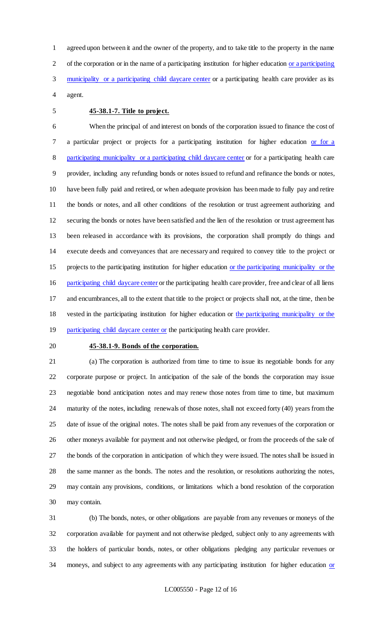agreed upon between it and the owner of the property, and to take title to the property in the name of the corporation or in the name of a participating institution for higher education or a participating municipality or a participating child daycare center or a participating health care provider as its agent.

## **45-38.1-7. Title to project.**

 When the principal of and interest on bonds of the corporation issued to finance the cost of 7 a particular project or projects for a participating institution for higher education or for a participating municipality or a participating child daycare center or for a participating health care provider, including any refunding bonds or notes issued to refund and refinance the bonds or notes, have been fully paid and retired, or when adequate provision has been made to fully pay and retire the bonds or notes, and all other conditions of the resolution or trust agreement authorizing and securing the bonds or notes have been satisfied and the lien of the resolution or trust agreement has been released in accordance with its provisions, the corporation shall promptly do things and execute deeds and conveyances that are necessary and required to convey title to the project or projects to the participating institution for higher education or the participating municipality or the 16 participating child daycare center or the participating health care provider, free and clear of all liens and encumbrances, all to the extent that title to the project or projects shall not, at the time, then be 18 vested in the participating institution for higher education or the participating municipality or the 19 participating child daycare center or the participating health care provider.

#### **45-38.1-9. Bonds of the corporation.**

 (a) The corporation is authorized from time to time to issue its negotiable bonds for any corporate purpose or project. In anticipation of the sale of the bonds the corporation may issue negotiable bond anticipation notes and may renew those notes from time to time, but maximum maturity of the notes, including renewals of those notes, shall not exceed forty (40) years from the date of issue of the original notes. The notes shall be paid from any revenues of the corporation or other moneys available for payment and not otherwise pledged, or from the proceeds of the sale of the bonds of the corporation in anticipation of which they were issued. The notes shall be issued in the same manner as the bonds. The notes and the resolution, or resolutions authorizing the notes, may contain any provisions, conditions, or limitations which a bond resolution of the corporation may contain.

 (b) The bonds, notes, or other obligations are payable from any revenues or moneys of the corporation available for payment and not otherwise pledged, subject only to any agreements with the holders of particular bonds, notes, or other obligations pledging any particular revenues or 34 moneys, and subject to any agreements with any participating institution for higher education or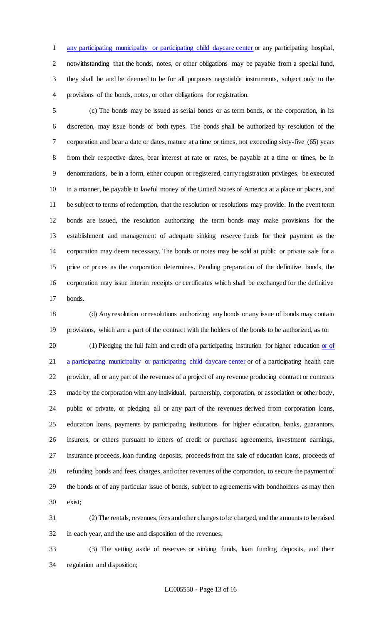any participating municipality or participating child daycare center or any participating hospital, notwithstanding that the bonds, notes, or other obligations may be payable from a special fund, they shall be and be deemed to be for all purposes negotiable instruments, subject only to the provisions of the bonds, notes, or other obligations for registration.

 (c) The bonds may be issued as serial bonds or as term bonds, or the corporation, in its discretion, may issue bonds of both types. The bonds shall be authorized by resolution of the corporation and bear a date or dates, mature at a time or times, not exceeding sixty-five (65) years from their respective dates, bear interest at rate or rates, be payable at a time or times, be in denominations, be in a form, either coupon or registered, carry registration privileges, be executed in a manner, be payable in lawful money of the United States of America at a place or places, and be subject to terms of redemption, that the resolution or resolutions may provide. In the event term bonds are issued, the resolution authorizing the term bonds may make provisions for the establishment and management of adequate sinking reserve funds for their payment as the corporation may deem necessary. The bonds or notes may be sold at public or private sale for a price or prices as the corporation determines. Pending preparation of the definitive bonds, the corporation may issue interim receipts or certificates which shall be exchanged for the definitive bonds.

 (d) Any resolution or resolutions authorizing any bonds or any issue of bonds may contain provisions, which are a part of the contract with the holders of the bonds to be authorized, as to:

20 (1) Pledging the full faith and credit of a participating institution for higher education or of 21 a participating municipality or participating child daycare center or of a participating health care provider, all or any part of the revenues of a project of any revenue producing contract or contracts made by the corporation with any individual, partnership, corporation, or association or other body, public or private, or pledging all or any part of the revenues derived from corporation loans, education loans, payments by participating institutions for higher education, banks, guarantors, insurers, or others pursuant to letters of credit or purchase agreements, investment earnings, insurance proceeds, loan funding deposits, proceeds from the sale of education loans, proceeds of refunding bonds and fees, charges, and other revenues of the corporation, to secure the payment of the bonds or of any particular issue of bonds, subject to agreements with bondholders as may then exist;

 (2) The rentals, revenues, fees and other charges to be charged, and the amounts to be raised in each year, and the use and disposition of the revenues;

 (3) The setting aside of reserves or sinking funds, loan funding deposits, and their regulation and disposition;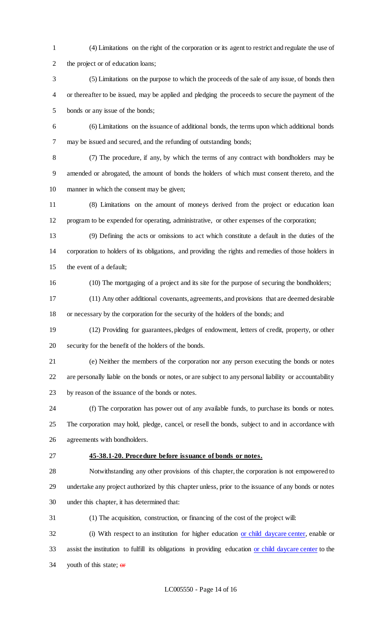(4) Limitations on the right of the corporation or its agent to restrict and regulate the use of the project or of education loans;

 (5) Limitations on the purpose to which the proceeds of the sale of any issue, of bonds then or thereafter to be issued, may be applied and pledging the proceeds to secure the payment of the bonds or any issue of the bonds;

 (6) Limitations on the issuance of additional bonds, the terms upon which additional bonds may be issued and secured, and the refunding of outstanding bonds;

 (7) The procedure, if any, by which the terms of any contract with bondholders may be amended or abrogated, the amount of bonds the holders of which must consent thereto, and the manner in which the consent may be given;

 (8) Limitations on the amount of moneys derived from the project or education loan program to be expended for operating, administrative, or other expenses of the corporation;

 (9) Defining the acts or omissions to act which constitute a default in the duties of the corporation to holders of its obligations, and providing the rights and remedies of those holders in the event of a default;

(10) The mortgaging of a project and its site for the purpose of securing the bondholders;

 (11) Any other additional covenants, agreements, and provisions that are deemed desirable or necessary by the corporation for the security of the holders of the bonds; and

 (12) Providing for guarantees, pledges of endowment, letters of credit, property, or other security for the benefit of the holders of the bonds.

 (e) Neither the members of the corporation nor any person executing the bonds or notes are personally liable on the bonds or notes, or are subject to any personal liability or accountability by reason of the issuance of the bonds or notes.

 (f) The corporation has power out of any available funds, to purchase its bonds or notes. The corporation may hold, pledge, cancel, or resell the bonds, subject to and in accordance with agreements with bondholders.

#### **45-38.1-20. Procedure before issuance of bonds or notes.**

 Notwithstanding any other provisions of this chapter, the corporation is not empowered to undertake any project authorized by this chapter unless, prior to the issuance of any bonds or notes under this chapter, it has determined that:

(1) The acquisition, construction, or financing of the cost of the project will:

32 (i) With respect to an institution for higher education or child daycare center, enable or assist the institution to fulfill its obligations in providing education or child daycare center to the 34 youth of this state;  $\theta$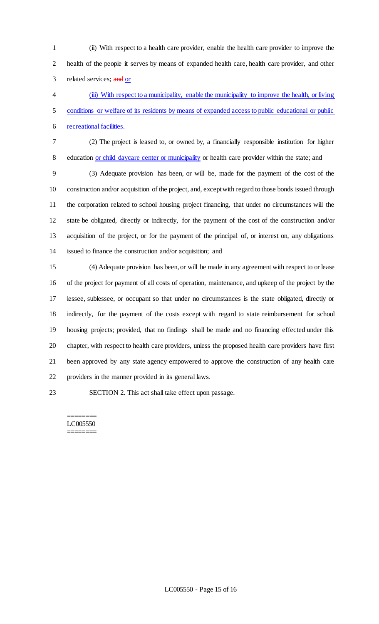(ii) With respect to a health care provider, enable the health care provider to improve the health of the people it serves by means of expanded health care, health care provider, and other 3 related services; and or

 (iii) With respect to a municipality, enable the municipality to improve the health, or living conditions or welfare of its residents by means of expanded access to public educational or public recreational facilities.

 (2) The project is leased to, or owned by, a financially responsible institution for higher 8 education or child daycare center or municipality or health care provider within the state; and

 (3) Adequate provision has been, or will be, made for the payment of the cost of the construction and/or acquisition of the project, and, except with regard to those bonds issued through the corporation related to school housing project financing, that under no circumstances will the state be obligated, directly or indirectly, for the payment of the cost of the construction and/or acquisition of the project, or for the payment of the principal of, or interest on, any obligations issued to finance the construction and/or acquisition; and

 (4) Adequate provision has been, or will be made in any agreement with respect to or lease of the project for payment of all costs of operation, maintenance, and upkeep of the project by the lessee, sublessee, or occupant so that under no circumstances is the state obligated, directly or indirectly, for the payment of the costs except with regard to state reimbursement for school housing projects; provided, that no findings shall be made and no financing effected under this chapter, with respect to health care providers, unless the proposed health care providers have first been approved by any state agency empowered to approve the construction of any health care providers in the manner provided in its general laws.

SECTION 2. This act shall take effect upon passage.

#### ======== LC005550 ========